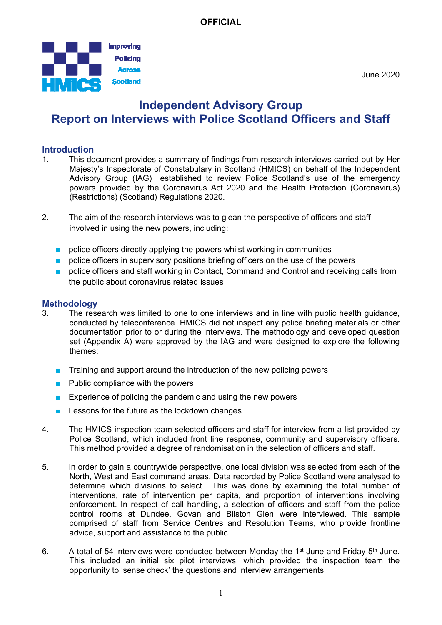

June 2020

# **Independent Advisory Group Report on Interviews with Police Scotland Officers and Staff**

### **Introduction**

- 1. This document provides a summary of findings from research interviews carried out by Her Majesty's Inspectorate of Constabulary in Scotland (HMICS) on behalf of the Independent Advisory Group (IAG) established to review Police Scotland's use of the emergency powers provided by the Coronavirus Act 2020 and the Health Protection (Coronavirus) (Restrictions) (Scotland) Regulations 2020.
- 2. The aim of the research interviews was to glean the perspective of officers and staff involved in using the new powers, including:
	- police officers directly applying the powers whilst working in communities
	- **DED** police officers in supervisory positions briefing officers on the use of the powers
	- police officers and staff working in Contact, Command and Control and receiving calls from the public about coronavirus related issues

#### **Methodology**

- 3. The research was limited to one to one interviews and in line with public health guidance, conducted by teleconference. HMICS did not inspect any police briefing materials or other documentation prior to or during the interviews. The methodology and developed question set (Appendix A) were approved by the IAG and were designed to explore the following themes:
	- Training and support around the introduction of the new policing powers
	- Public compliance with the powers
	- Experience of policing the pandemic and using the new powers
	- Lessons for the future as the lockdown changes
- 4. The HMICS inspection team selected officers and staff for interview from a list provided by Police Scotland, which included front line response, community and supervisory officers. This method provided a degree of randomisation in the selection of officers and staff.
- 5. In order to gain a countrywide perspective, one local division was selected from each of the North, West and East command areas. Data recorded by Police Scotland were analysed to determine which divisions to select. This was done by examining the total number of interventions, rate of intervention per capita, and proportion of interventions involving enforcement. In respect of call handling, a selection of officers and staff from the police control rooms at Dundee, Govan and Bilston Glen were interviewed. This sample comprised of staff from Service Centres and Resolution Teams, who provide frontline advice, support and assistance to the public.
- 6. A total of 54 interviews were conducted between Monday the 1<sup>st</sup> June and Friday 5<sup>th</sup> June. This included an initial six pilot interviews, which provided the inspection team the opportunity to 'sense check' the questions and interview arrangements.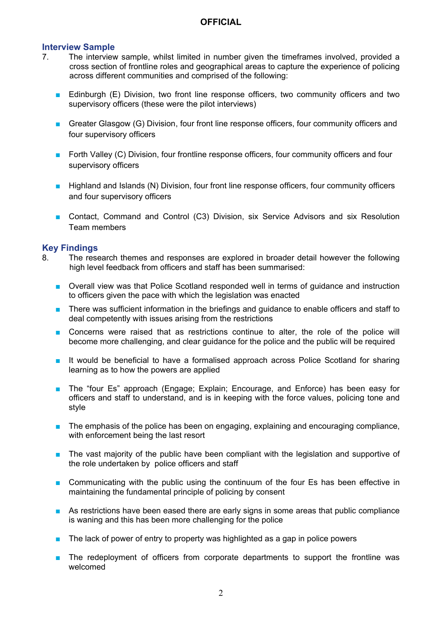### **Interview Sample**

- 7. The interview sample, whilst limited in number given the timeframes involved, provided a cross section of frontline roles and geographical areas to capture the experience of policing across different communities and comprised of the following:
	- Edinburgh (E) Division, two front line response officers, two community officers and two supervisory officers (these were the pilot interviews)
	- Greater Glasgow (G) Division, four front line response officers, four community officers and four supervisory officers
	- Forth Valley (C) Division, four frontline response officers, four community officers and four supervisory officers
	- Highland and Islands (N) Division, four front line response officers, four community officers and four supervisory officers
	- Contact, Command and Control (C3) Division, six Service Advisors and six Resolution Team members

#### **Key Findings**

- 8. The research themes and responses are explored in broader detail however the following high level feedback from officers and staff has been summarised:
	- Overall view was that Police Scotland responded well in terms of guidance and instruction to officers given the pace with which the legislation was enacted
	- There was sufficient information in the briefings and guidance to enable officers and staff to deal competently with issues arising from the restrictions
	- Concerns were raised that as restrictions continue to alter, the role of the police will become more challenging, and clear guidance for the police and the public will be required
	- It would be beneficial to have a formalised approach across Police Scotland for sharing learning as to how the powers are applied
	- The "four Es" approach (Engage; Explain; Encourage, and Enforce) has been easy for officers and staff to understand, and is in keeping with the force values, policing tone and style
	- The emphasis of the police has been on engaging, explaining and encouraging compliance, with enforcement being the last resort
	- The vast majority of the public have been compliant with the legislation and supportive of the role undertaken by police officers and staff
	- Communicating with the public using the continuum of the four Es has been effective in maintaining the fundamental principle of policing by consent
	- As restrictions have been eased there are early signs in some areas that public compliance is waning and this has been more challenging for the police
	- The lack of power of entry to property was highlighted as a gap in police powers
	- The redeployment of officers from corporate departments to support the frontline was welcomed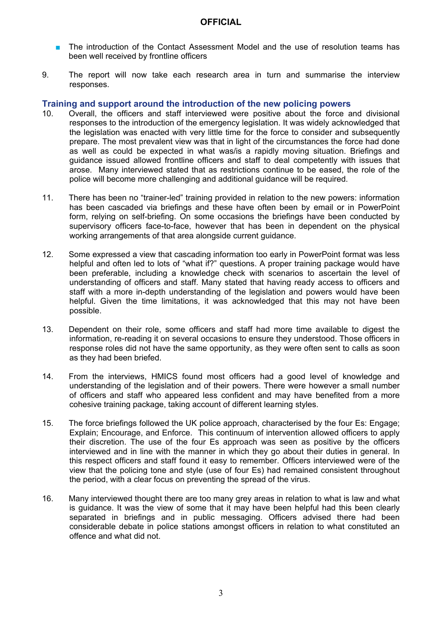- The introduction of the Contact Assessment Model and the use of resolution teams has been well received by frontline officers
- 9. The report will now take each research area in turn and summarise the interview responses.

#### **Training and support around the introduction of the new policing powers**

- 10. Overall, the officers and staff interviewed were positive about the force and divisional responses to the introduction of the emergency legislation. It was widely acknowledged that the legislation was enacted with very little time for the force to consider and subsequently prepare. The most prevalent view was that in light of the circumstances the force had done as well as could be expected in what was/is a rapidly moving situation. Briefings and guidance issued allowed frontline officers and staff to deal competently with issues that arose. Many interviewed stated that as restrictions continue to be eased, the role of the police will become more challenging and additional guidance will be required.
- 11. There has been no "trainer-led" training provided in relation to the new powers: information has been cascaded via briefings and these have often been by email or in PowerPoint form, relying on self-briefing. On some occasions the briefings have been conducted by supervisory officers face-to-face, however that has been in dependent on the physical working arrangements of that area alongside current guidance.
- 12. Some expressed a view that cascading information too early in PowerPoint format was less helpful and often led to lots of "what if?" questions. A proper training package would have been preferable, including a knowledge check with scenarios to ascertain the level of understanding of officers and staff. Many stated that having ready access to officers and staff with a more in-depth understanding of the legislation and powers would have been helpful. Given the time limitations, it was acknowledged that this may not have been possible.
- 13. Dependent on their role, some officers and staff had more time available to digest the information, re-reading it on several occasions to ensure they understood. Those officers in response roles did not have the same opportunity, as they were often sent to calls as soon as they had been briefed.
- 14. From the interviews, HMICS found most officers had a good level of knowledge and understanding of the legislation and of their powers. There were however a small number of officers and staff who appeared less confident and may have benefited from a more cohesive training package, taking account of different learning styles.
- 15. The force briefings followed the UK police approach, characterised by the four Es: Engage; Explain; Encourage, and Enforce. This continuum of intervention allowed officers to apply their discretion. The use of the four Es approach was seen as positive by the officers interviewed and in line with the manner in which they go about their duties in general. In this respect officers and staff found it easy to remember. Officers interviewed were of the view that the policing tone and style (use of four Es) had remained consistent throughout the period, with a clear focus on preventing the spread of the virus.
- 16. Many interviewed thought there are too many grey areas in relation to what is law and what is guidance. It was the view of some that it may have been helpful had this been clearly separated in briefings and in public messaging. Officers advised there had been considerable debate in police stations amongst officers in relation to what constituted an offence and what did not.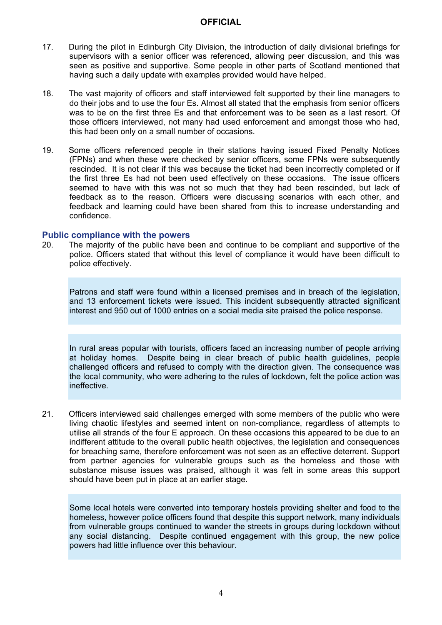- 17. During the pilot in Edinburgh City Division, the introduction of daily divisional briefings for supervisors with a senior officer was referenced, allowing peer discussion, and this was seen as positive and supportive. Some people in other parts of Scotland mentioned that having such a daily update with examples provided would have helped.
- 18. The vast majority of officers and staff interviewed felt supported by their line managers to do their jobs and to use the four Es. Almost all stated that the emphasis from senior officers was to be on the first three Es and that enforcement was to be seen as a last resort. Of those officers interviewed, not many had used enforcement and amongst those who had, this had been only on a small number of occasions.
- 19. Some officers referenced people in their stations having issued Fixed Penalty Notices (FPNs) and when these were checked by senior officers, some FPNs were subsequently rescinded. It is not clear if this was because the ticket had been incorrectly completed or if the first three Es had not been used effectively on these occasions. The issue officers seemed to have with this was not so much that they had been rescinded, but lack of feedback as to the reason. Officers were discussing scenarios with each other, and feedback and learning could have been shared from this to increase understanding and confidence.

#### **Public compliance with the powers**

20. The majority of the public have been and continue to be compliant and supportive of the police. Officers stated that without this level of compliance it would have been difficult to police effectively.

Patrons and staff were found within a licensed premises and in breach of the legislation, and 13 enforcement tickets were issued. This incident subsequently attracted significant interest and 950 out of 1000 entries on a social media site praised the police response.

In rural areas popular with tourists, officers faced an increasing number of people arriving at holiday homes. Despite being in clear breach of public health guidelines, people challenged officers and refused to comply with the direction given. The consequence was the local community, who were adhering to the rules of lockdown, felt the police action was ineffective.

21. Officers interviewed said challenges emerged with some members of the public who were living chaotic lifestyles and seemed intent on non-compliance, regardless of attempts to utilise all strands of the four E approach. On these occasions this appeared to be due to an indifferent attitude to the overall public health objectives, the legislation and consequences for breaching same, therefore enforcement was not seen as an effective deterrent. Support from partner agencies for vulnerable groups such as the homeless and those with substance misuse issues was praised, although it was felt in some areas this support should have been put in place at an earlier stage.

Some local hotels were converted into temporary hostels providing shelter and food to the homeless, however police officers found that despite this support network, many individuals from vulnerable groups continued to wander the streets in groups during lockdown without any social distancing. Despite continued engagement with this group, the new police powers had little influence over this behaviour.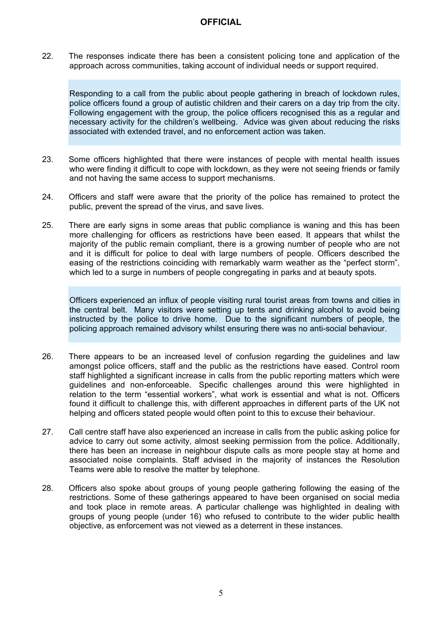22. The responses indicate there has been a consistent policing tone and application of the approach across communities, taking account of individual needs or support required.

Responding to a call from the public about people gathering in breach of lockdown rules, police officers found a group of autistic children and their carers on a day trip from the city. Following engagement with the group, the police officers recognised this as a regular and necessary activity for the children's wellbeing. Advice was given about reducing the risks associated with extended travel, and no enforcement action was taken.

- 23. Some officers highlighted that there were instances of people with mental health issues who were finding it difficult to cope with lockdown, as they were not seeing friends or family and not having the same access to support mechanisms.
- 24. Officers and staff were aware that the priority of the police has remained to protect the public, prevent the spread of the virus, and save lives.
- 25. There are early signs in some areas that public compliance is waning and this has been more challenging for officers as restrictions have been eased. It appears that whilst the majority of the public remain compliant, there is a growing number of people who are not and it is difficult for police to deal with large numbers of people. Officers described the easing of the restrictions coinciding with remarkably warm weather as the "perfect storm", which led to a surge in numbers of people congregating in parks and at beauty spots.

Officers experienced an influx of people visiting rural tourist areas from towns and cities in the central belt. Many visitors were setting up tents and drinking alcohol to avoid being instructed by the police to drive home. Due to the significant numbers of people, the policing approach remained advisory whilst ensuring there was no anti-social behaviour.

- 26. There appears to be an increased level of confusion regarding the guidelines and law amongst police officers, staff and the public as the restrictions have eased. Control room staff highlighted a significant increase in calls from the public reporting matters which were guidelines and non-enforceable. Specific challenges around this were highlighted in relation to the term "essential workers", what work is essential and what is not. Officers found it difficult to challenge this, with different approaches in different parts of the UK not helping and officers stated people would often point to this to excuse their behaviour.
- 27. Call centre staff have also experienced an increase in calls from the public asking police for advice to carry out some activity, almost seeking permission from the police. Additionally, there has been an increase in neighbour dispute calls as more people stay at home and associated noise complaints. Staff advised in the majority of instances the Resolution Teams were able to resolve the matter by telephone.
- 28. Officers also spoke about groups of young people gathering following the easing of the restrictions. Some of these gatherings appeared to have been organised on social media and took place in remote areas. A particular challenge was highlighted in dealing with groups of young people (under 16) who refused to contribute to the wider public health objective, as enforcement was not viewed as a deterrent in these instances.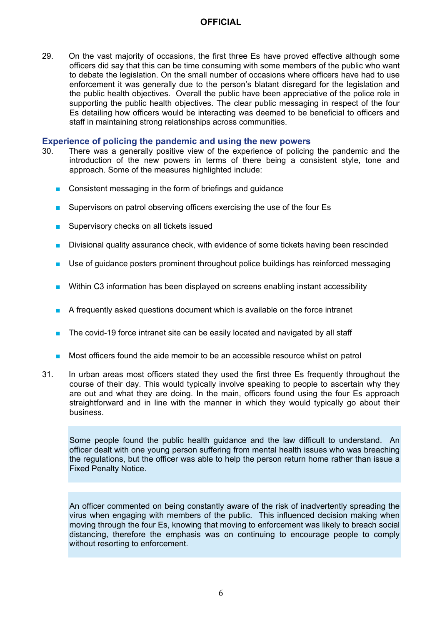29. On the vast majority of occasions, the first three Es have proved effective although some officers did say that this can be time consuming with some members of the public who want to debate the legislation. On the small number of occasions where officers have had to use enforcement it was generally due to the person's blatant disregard for the legislation and the public health objectives. Overall the public have been appreciative of the police role in supporting the public health objectives. The clear public messaging in respect of the four Es detailing how officers would be interacting was deemed to be beneficial to officers and staff in maintaining strong relationships across communities.

#### **Experience of policing the pandemic and using the new powers**

- 30. There was a generally positive view of the experience of policing the pandemic and the introduction of the new powers in terms of there being a consistent style, tone and approach. Some of the measures highlighted include:
	- Consistent messaging in the form of briefings and quidance
	- Supervisors on patrol observing officers exercising the use of the four Es
	- Supervisory checks on all tickets issued
	- Divisional quality assurance check, with evidence of some tickets having been rescinded
	- Use of guidance posters prominent throughout police buildings has reinforced messaging
	- Within C3 information has been displayed on screens enabling instant accessibility
	- A frequently asked questions document which is available on the force intranet
	- The covid-19 force intranet site can be easily located and navigated by all staff
	- Most officers found the aide memoir to be an accessible resource whilst on patrol
- 31. In urban areas most officers stated they used the first three Es frequently throughout the course of their day. This would typically involve speaking to people to ascertain why they are out and what they are doing. In the main, officers found using the four Es approach straightforward and in line with the manner in which they would typically go about their business.

Some people found the public health guidance and the law difficult to understand. An officer dealt with one young person suffering from mental health issues who was breaching the regulations, but the officer was able to help the person return home rather than issue a Fixed Penalty Notice.

An officer commented on being constantly aware of the risk of inadvertently spreading the virus when engaging with members of the public. This influenced decision making when moving through the four Es, knowing that moving to enforcement was likely to breach social distancing, therefore the emphasis was on continuing to encourage people to comply without resorting to enforcement.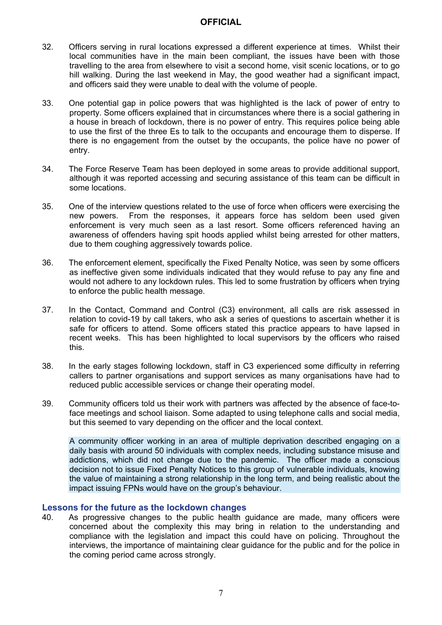- 32. Officers serving in rural locations expressed a different experience at times. Whilst their local communities have in the main been compliant, the issues have been with those travelling to the area from elsewhere to visit a second home, visit scenic locations, or to go hill walking. During the last weekend in May, the good weather had a significant impact, and officers said they were unable to deal with the volume of people.
- 33. One potential gap in police powers that was highlighted is the lack of power of entry to property. Some officers explained that in circumstances where there is a social gathering in a house in breach of lockdown, there is no power of entry. This requires police being able to use the first of the three Es to talk to the occupants and encourage them to disperse. If there is no engagement from the outset by the occupants, the police have no power of entry.
- 34. The Force Reserve Team has been deployed in some areas to provide additional support, although it was reported accessing and securing assistance of this team can be difficult in some locations.
- 35. One of the interview questions related to the use of force when officers were exercising the new powers. From the responses, it appears force has seldom been used given enforcement is very much seen as a last resort. Some officers referenced having an awareness of offenders having spit hoods applied whilst being arrested for other matters, due to them coughing aggressively towards police.
- 36. The enforcement element, specifically the Fixed Penalty Notice, was seen by some officers as ineffective given some individuals indicated that they would refuse to pay any fine and would not adhere to any lockdown rules. This led to some frustration by officers when trying to enforce the public health message.
- 37. In the Contact, Command and Control (C3) environment, all calls are risk assessed in relation to covid-19 by call takers, who ask a series of questions to ascertain whether it is safe for officers to attend. Some officers stated this practice appears to have lapsed in recent weeks. This has been highlighted to local supervisors by the officers who raised this.
- 38. In the early stages following lockdown, staff in C3 experienced some difficulty in referring callers to partner organisations and support services as many organisations have had to reduced public accessible services or change their operating model.
- 39. Community officers told us their work with partners was affected by the absence of face-toface meetings and school liaison. Some adapted to using telephone calls and social media, but this seemed to vary depending on the officer and the local context.

A community officer working in an area of multiple deprivation described engaging on a daily basis with around 50 individuals with complex needs, including substance misuse and addictions, which did not change due to the pandemic. The officer made a conscious decision not to issue Fixed Penalty Notices to this group of vulnerable individuals, knowing the value of maintaining a strong relationship in the long term, and being realistic about the impact issuing FPNs would have on the group's behaviour.

#### **Lessons for the future as the lockdown changes**

40. As progressive changes to the public health guidance are made, many officers were concerned about the complexity this may bring in relation to the understanding and compliance with the legislation and impact this could have on policing. Throughout the interviews, the importance of maintaining clear guidance for the public and for the police in the coming period came across strongly.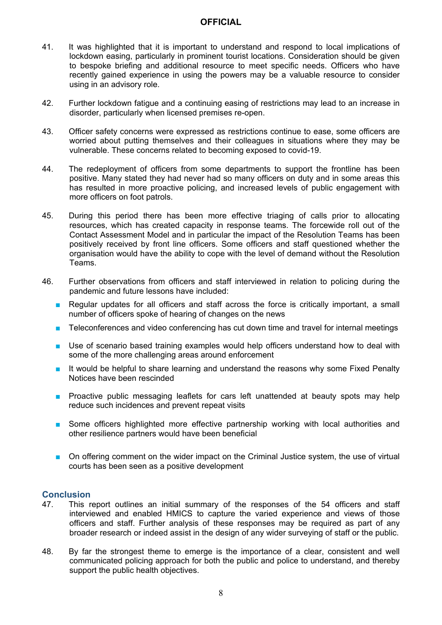- 41. It was highlighted that it is important to understand and respond to local implications of lockdown easing, particularly in prominent tourist locations. Consideration should be given to bespoke briefing and additional resource to meet specific needs. Officers who have recently gained experience in using the powers may be a valuable resource to consider using in an advisory role.
- 42. Further lockdown fatigue and a continuing easing of restrictions may lead to an increase in disorder, particularly when licensed premises re-open.
- 43. Officer safety concerns were expressed as restrictions continue to ease, some officers are worried about putting themselves and their colleagues in situations where they may be vulnerable. These concerns related to becoming exposed to covid-19.
- 44. The redeployment of officers from some departments to support the frontline has been positive. Many stated they had never had so many officers on duty and in some areas this has resulted in more proactive policing, and increased levels of public engagement with more officers on foot patrols.
- 45. During this period there has been more effective triaging of calls prior to allocating resources, which has created capacity in response teams. The forcewide roll out of the Contact Assessment Model and in particular the impact of the Resolution Teams has been positively received by front line officers. Some officers and staff questioned whether the organisation would have the ability to cope with the level of demand without the Resolution Teams.
- 46. Further observations from officers and staff interviewed in relation to policing during the pandemic and future lessons have included:
	- Regular updates for all officers and staff across the force is critically important, a small number of officers spoke of hearing of changes on the news
	- Teleconferences and video conferencing has cut down time and travel for internal meetings
	- Use of scenario based training examples would help officers understand how to deal with some of the more challenging areas around enforcement
	- It would be helpful to share learning and understand the reasons why some Fixed Penalty Notices have been rescinded
	- Proactive public messaging leaflets for cars left unattended at beauty spots may help reduce such incidences and prevent repeat visits
	- Some officers highlighted more effective partnership working with local authorities and other resilience partners would have been beneficial
	- On offering comment on the wider impact on the Criminal Justice system, the use of virtual courts has been seen as a positive development

#### **Conclusion**

- 47. This report outlines an initial summary of the responses of the 54 officers and staff interviewed and enabled HMICS to capture the varied experience and views of those officers and staff. Further analysis of these responses may be required as part of any broader research or indeed assist in the design of any wider surveying of staff or the public.
- 48. By far the strongest theme to emerge is the importance of a clear, consistent and well communicated policing approach for both the public and police to understand, and thereby support the public health objectives.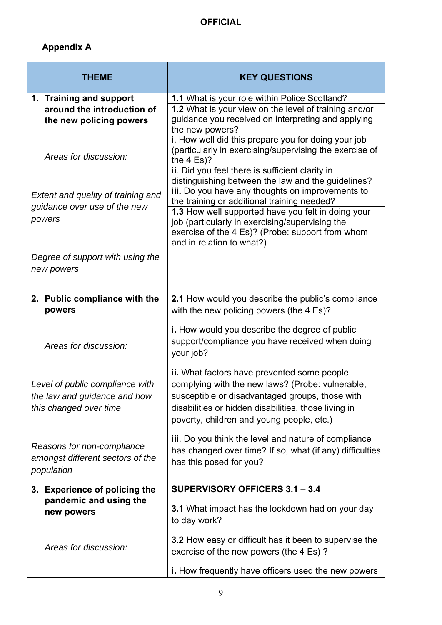# **Appendix A**

| <b>THEME</b>                                                                              | <b>KEY QUESTIONS</b>                                                                                                                                                                                                                                    |
|-------------------------------------------------------------------------------------------|---------------------------------------------------------------------------------------------------------------------------------------------------------------------------------------------------------------------------------------------------------|
| 1. Training and support<br>around the introduction of<br>the new policing powers          | 1.1 What is your role within Police Scotland?<br>1.2 What is your view on the level of training and/or<br>guidance you received on interpreting and applying<br>the new powers?                                                                         |
| <b>Areas for discussion:</b>                                                              | i. How well did this prepare you for doing your job<br>(particularly in exercising/supervising the exercise of<br>the $4$ Es?<br>ii. Did you feel there is sufficient clarity in<br>distinguishing between the law and the guidelines?                  |
| Extent and quality of training and<br>guidance over use of the new                        | iii. Do you have any thoughts on improvements to<br>the training or additional training needed?<br>1.3 How well supported have you felt in doing your                                                                                                   |
| powers                                                                                    | job (particularly in exercising/supervising the<br>exercise of the 4 Es)? (Probe: support from whom<br>and in relation to what?)                                                                                                                        |
| Degree of support with using the<br>new powers                                            |                                                                                                                                                                                                                                                         |
| 2. Public compliance with the<br>powers                                                   | 2.1 How would you describe the public's compliance<br>with the new policing powers (the 4 Es)?                                                                                                                                                          |
| <b>Areas for discussion:</b>                                                              | i. How would you describe the degree of public<br>support/compliance you have received when doing<br>your job?                                                                                                                                          |
| Level of public compliance with<br>the law and guidance and how<br>this changed over time | ii. What factors have prevented some people<br>complying with the new laws? (Probe: vulnerable,<br>susceptible or disadvantaged groups, those with<br>disabilities or hidden disabilities, those living in<br>poverty, children and young people, etc.) |
| Reasons for non-compliance<br>amongst different sectors of the<br>population              | iii. Do you think the level and nature of compliance<br>has changed over time? If so, what (if any) difficulties<br>has this posed for you?                                                                                                             |
| 3. Experience of policing the                                                             | SUPERVISORY OFFICERS 3.1 - 3.4                                                                                                                                                                                                                          |
| pandemic and using the<br>new powers                                                      | 3.1 What impact has the lockdown had on your day<br>to day work?                                                                                                                                                                                        |
| Areas for discussion:                                                                     | 3.2 How easy or difficult has it been to supervise the<br>exercise of the new powers (the 4 Es)?                                                                                                                                                        |
|                                                                                           | i. How frequently have officers used the new powers                                                                                                                                                                                                     |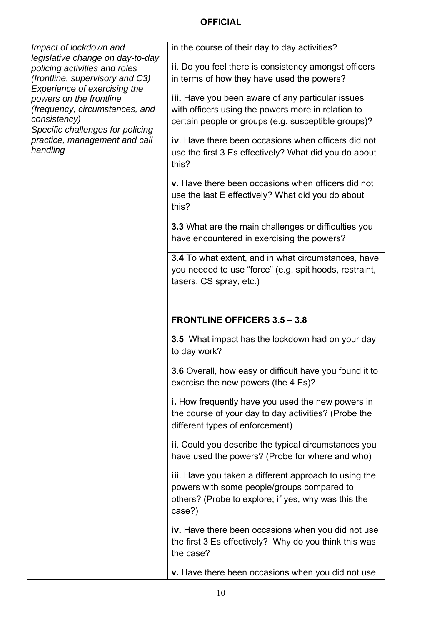| Impact of lockdown and                                                                                                                                                                                                        | in the course of their day to day activities?                                                                                                                        |
|-------------------------------------------------------------------------------------------------------------------------------------------------------------------------------------------------------------------------------|----------------------------------------------------------------------------------------------------------------------------------------------------------------------|
| legislative change on day-to-day<br>policing activities and roles                                                                                                                                                             | ii. Do you feel there is consistency amongst officers                                                                                                                |
| (frontline, supervisory and C3)<br>Experience of exercising the<br>powers on the frontline<br>(frequency, circumstances, and<br>consistency)<br>Specific challenges for policing<br>practice, management and call<br>handling | in terms of how they have used the powers?                                                                                                                           |
|                                                                                                                                                                                                                               | iii. Have you been aware of any particular issues                                                                                                                    |
|                                                                                                                                                                                                                               | with officers using the powers more in relation to                                                                                                                   |
|                                                                                                                                                                                                                               | certain people or groups (e.g. susceptible groups)?                                                                                                                  |
|                                                                                                                                                                                                                               | iv. Have there been occasions when officers did not<br>use the first 3 Es effectively? What did you do about<br>this?                                                |
|                                                                                                                                                                                                                               |                                                                                                                                                                      |
|                                                                                                                                                                                                                               | v. Have there been occasions when officers did not<br>use the last E effectively? What did you do about<br>this?                                                     |
|                                                                                                                                                                                                                               | 3.3 What are the main challenges or difficulties you                                                                                                                 |
|                                                                                                                                                                                                                               | have encountered in exercising the powers?                                                                                                                           |
|                                                                                                                                                                                                                               | <b>3.4</b> To what extent, and in what circumstances, have                                                                                                           |
|                                                                                                                                                                                                                               | you needed to use "force" (e.g. spit hoods, restraint,<br>tasers, CS spray, etc.)                                                                                    |
|                                                                                                                                                                                                                               |                                                                                                                                                                      |
|                                                                                                                                                                                                                               |                                                                                                                                                                      |
|                                                                                                                                                                                                                               | <b>FRONTLINE OFFICERS 3.5 - 3.8</b>                                                                                                                                  |
|                                                                                                                                                                                                                               | <b>3.5</b> What impact has the lockdown had on your day<br>to day work?                                                                                              |
|                                                                                                                                                                                                                               | 3.6 Overall, how easy or difficult have you found it to<br>exercise the new powers (the 4 Es)?                                                                       |
|                                                                                                                                                                                                                               | i. How frequently have you used the new powers in<br>the course of your day to day activities? (Probe the<br>different types of enforcement)                         |
|                                                                                                                                                                                                                               | ii. Could you describe the typical circumstances you<br>have used the powers? (Probe for where and who)                                                              |
|                                                                                                                                                                                                                               | iii. Have you taken a different approach to using the<br>powers with some people/groups compared to<br>others? (Probe to explore; if yes, why was this the<br>case?) |
|                                                                                                                                                                                                                               | iv. Have there been occasions when you did not use<br>the first 3 Es effectively? Why do you think this was<br>the case?                                             |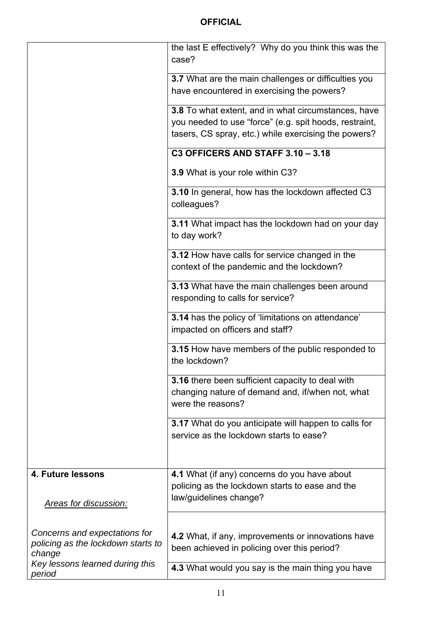|                                                                               | the last E effectively? Why do you think this was the<br>case?                                                                                                        |
|-------------------------------------------------------------------------------|-----------------------------------------------------------------------------------------------------------------------------------------------------------------------|
|                                                                               | 3.7 What are the main challenges or difficulties you<br>have encountered in exercising the powers?                                                                    |
|                                                                               | 3.8 To what extent, and in what circumstances, have<br>you needed to use "force" (e.g. spit hoods, restraint,<br>tasers, CS spray, etc.) while exercising the powers? |
|                                                                               | <b>C3 OFFICERS AND STAFF 3.10 - 3.18</b>                                                                                                                              |
|                                                                               | 3.9 What is your role within C3?                                                                                                                                      |
|                                                                               | 3.10 In general, how has the lockdown affected C3<br>colleagues?                                                                                                      |
|                                                                               | <b>3.11</b> What impact has the lockdown had on your day<br>to day work?                                                                                              |
|                                                                               | 3.12 How have calls for service changed in the<br>context of the pandemic and the lockdown?                                                                           |
|                                                                               | 3.13 What have the main challenges been around<br>responding to calls for service?                                                                                    |
|                                                                               | 3.14 has the policy of 'limitations on attendance'<br>impacted on officers and staff?                                                                                 |
|                                                                               | 3.15 How have members of the public responded to<br>the lockdown?                                                                                                     |
|                                                                               | 3.16 there been sufficient capacity to deal with<br>changing nature of demand and, if/when not, what<br>were the reasons?                                             |
|                                                                               | 3.17 What do you anticipate will happen to calls for<br>service as the lockdown starts to ease?                                                                       |
| <b>4. Future lessons</b><br><b>Areas for discussion:</b>                      | 4.1 What (if any) concerns do you have about<br>policing as the lockdown starts to ease and the<br>law/guidelines change?                                             |
| Concerns and expectations for<br>policing as the lockdown starts to<br>change | 4.2 What, if any, improvements or innovations have<br>been achieved in policing over this period?                                                                     |
| Key lessons learned during this<br>period                                     | 4.3 What would you say is the main thing you have                                                                                                                     |